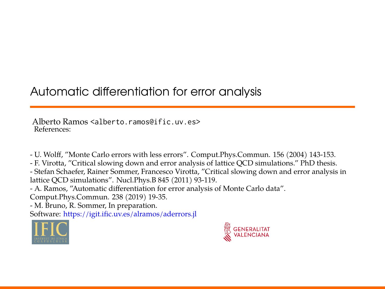# Automatic differentiation for error analysis

Alberto Ramos <alberto.ramos@ific.uv.es> References:

- U. Wolff, "Monte Carlo errors with less errors". Comput.Phys.Commun. 156 (2004) 143-153.

- F. Virotta, "Critical slowing down and error analysis of lattice QCD simulations." PhD thesis. - Stefan Schaefer, Rainer Sommer, Francesco Virotta, "Critical slowing down and error analysis in lattice QCD simulations". Nucl.Phys.B 845 (2011) 93-119.

- A. Ramos, "Automatic differentiation for error analysis of Monte Carlo data".

Comput.Phys.Commun. 238 (2019) 19-35.

- M. Bruno, R. Sommer, In preparation.

Software: <https://igit.ific.uv.es/alramos/aderrors.jl>



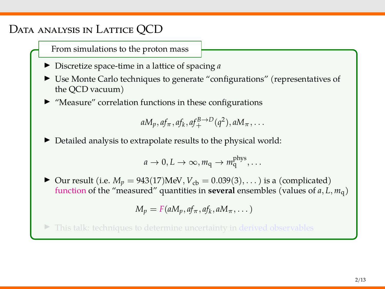## Data analysis in Lattice QCD

From simulations to the proton mass

- <sup>I</sup> Discretize space-time in a lattice of spacing *<sup>a</sup>*
- In Use Monte Carlo techniques to generate "configurations" (representatives of the QCD vacuum)
- $\blacktriangleright$  "Measure" correlation functions in these configurations

 $aM_p, af_{\pi}, af_k, af_{+}^{B\to D}(q^2), aM_{\pi}, \ldots$ 

 $\blacktriangleright$  Detailed analysis to extrapolate results to the physical world:

$$
a \to 0, L \to \infty, m_q \to m_q^{\text{phys}}, \dots
$$

▶ Our result (i.e.  $M_p = 943(17)$  MeV,  $V_{cb} = 0.039(3), \ldots$ ) is a (complicated) function of the "measured" quantities in **several** ensembles (values of  $a, L, m<sub>q</sub>$ )

$$
M_p = F(aM_p, af_\pi, af_k, aM_\pi, \dots)
$$

 $\triangleright$  This talk: techniques to determine uncertainty in derived observables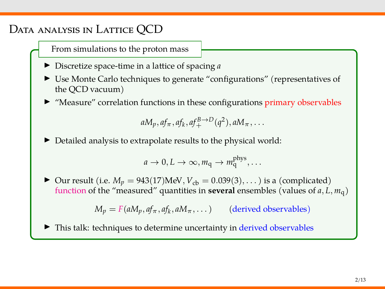## Data analysis in Lattice QCD

From simulations to the proton mass

- <sup>I</sup> Discretize space-time in a lattice of spacing *<sup>a</sup>*
- In Use Monte Carlo techniques to generate "configurations" (representatives of the QCD vacuum)
- $\blacktriangleright$  "Measure" correlation functions in these configurations primary observables

$$
aM_p, af_\pi, af_k, af_+^{B\to D}(q^2), aM_\pi, \ldots
$$

 $\blacktriangleright$  Detailed analysis to extrapolate results to the physical world:

$$
a \to 0, L \to \infty, m_q \to m_q^{\text{phys}}, \dots
$$

▶ Our result (i.e.  $M_p = 943(17)$  MeV,  $V_{cb} = 0.039(3), \ldots$ ) is a (complicated) function of the "measured" quantities in **several** ensembles (values of *a*, *L*, *m*q)

 $M_p = F(aM_p, af_\pi, af_k, aM_\pi, \dots)$  (derived observables)

This talk: techniques to determine uncertainty in derived observables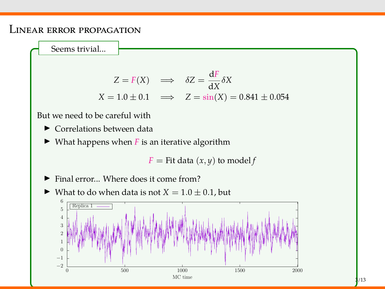#### Linear error propagation

Seems trivial...

$$
Z = F(X) \implies \delta Z = \frac{dF}{dX} \delta X
$$
  

$$
X = 1.0 \pm 0.1 \implies Z = \sin(X) = 0.841 \pm 0.054
$$

But we need to be careful with

- $\blacktriangleright$  Correlations between data
- $\blacktriangleright$  What happens when *F* is an iterative algorithm

 $F =$  Fit data  $(x, y)$  to model  $f$ 

 $\blacktriangleright$  Final error... Where does it come from?



 $\blacktriangleright$  What to do when data is not  $X = 1.0 \pm 0.1$ , but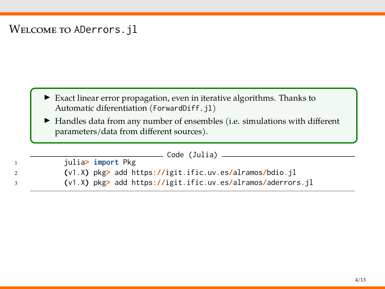### WELCOME TO ADerrors.jl

- I Exact linear error propagation, even in iterative algorithms. Thanks to Automatic diferentiation (ForwardDiff.jl)
- $\blacktriangleright$  Handles data from any number of ensembles (i.e. simulations with different parameters/data from different sources).

| Code (Julia)                                                |
|-------------------------------------------------------------|
| julia> import Pkg                                           |
| (v1.X) pkg> add https://igit.ific.uv.es/alramos/bdio.jl     |
| (v1.X) pkg> add https://igit.ific.uv.es/alramos/aderrors.jl |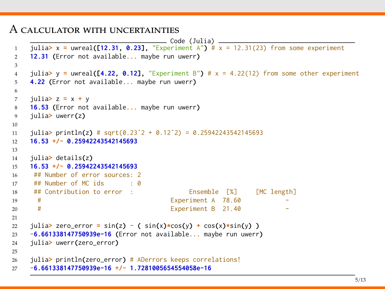#### A calculator with uncertainties

```
\qquad \qquad \text{Code (Julia)} \qquad \qquad1 julia> x = uwreal([12.31, 0.23], "Experiment A") # x = 12.31(23) from some experiment
2 12.31 (Error not available... maybe run uwerr)
3
4 julia> y = uwreal([4.22, 0.12], "Experiment B") # x = 4.22(12) from some other experiment
5 4.22 (Error not available... maybe run uwerr)
6
7 julia> z = x + y
8 16.53 (Error not available... maybe run uwerr)
9 julia> uwerr(z)
10
11 julia> println(z) # sqrt(0.23ˆ2 + 0.12ˆ2) = 0.25942243542145693
12 16.53 +/- 0.25942243542145693
13
14 julia> details(z)
15 16.53 +/- 0.25942243542145693
16 ## Number of error sources: 2
17 \# Number of MC ids \cdot 0
18 ## Contribution to error : Ensemble [%] [MC length]
19 # Experiment A 78.60
20 # Experiment B 21.40
21
22 julia> zero_error = sin(z) - ( sin(x)*cos(y) + cos(x)*sin(y) )
23 -6.661338147750939e-16 (Error not available... maybe run uwerr)
24 julia> uwerr(zero_error)
25
26 julia> println(zero_error) # ADerrors keeps correlations!
27 -6.661338147750939e-16 +/- 1.7281005654554058e-16
```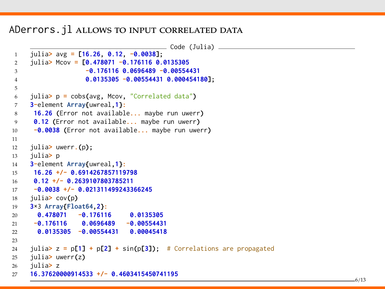ADerrors. *jl* allows to input correlated data

```
\equiv Code (Julia) \equiv1 julia> avg = [16.26, 0.12, -0.0038];
2 julia> Mcov = [0.478071 -0.176116 0.0135305
                  3 -0.176116 0.0696489 -0.00554431
4 0.0135305 -0.00554431 0.000454180];
5
6 julia> p = cobs(avg, Mcov, "Correlated data")
7 3-element Array{uwreal,1}:
8 16.26 (Error not available... maybe run uwerr)
9 0.12 (Error not available... maybe run uwerr)
10 -0.0038 (Error not available... maybe run uwerr)
11
12 julia> uwerr.(p);
13 julia> p
14 3-element Array{uwreal,1}:
15 16.26 +/- 0.6914267857119798
16 0.12 +/- 0.2639107803785211
17 -0.0038 +/- 0.021311499243366245
18 julia> cov(p)
19 3×3 Array{Float64,2}:
20 0.478071 -0.176116 0.0135305
21 -0.176116 0.0696489 -0.00554431
22 0.0135305 -0.00554431 0.00045418
23
24 julia> z = p[1] + p[2] + sin(p[3]); # Correlations are propagated
25 julia> uwerr(z)
26 julia> z
27 16.37620000914533 +/- 0.4603415450741195
```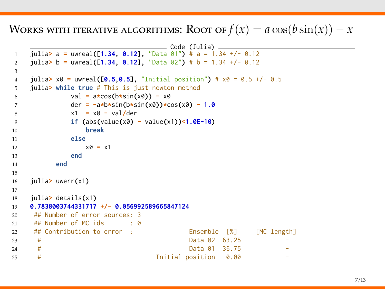Works with iterative algorithms: Root of  $f(x) = a \cos(b \sin(x)) - x$ 

```
\equiv Code (Julia) \equiv1 julia> a = uwreal([1.34, 0.12], "Data 01") # a = 1.34 +/- 0.12
2 julia> b = uwreal([1.34, 0.12], "Data 02") # b = 1.34 +/- 0.12
3
4 julia> x0 = uwreal([0.5,0.5], "Initial position") # x0 = 0.5 +/- 0.5
5 julia> while true # This is just newton method
6 val = a*cos(b*sin(x0)) - x0
7 der = -a*b*sin(b*sin(x0))*cos(x0) - 1.0
8 x1 = x0 - val/der
9 if (abs(value(x0) - value(x1))<1.0E-10)
10 break
11 else
12 \times 0 = x113 end
14 end
15
16 julia> uwerr(x1)
17
18 julia> details(x1)
19 0.7838003744331717 +/- 0.056992589665847124
20 ## Number of error sources: 3
21 ## Number of MC ids \cdot 0
22 ## Contribution to error : Ensemble [%] [MC length]
23 # Data 02 63.25
24 # Data 01 36.75
25 # Initial position 0.00 -
```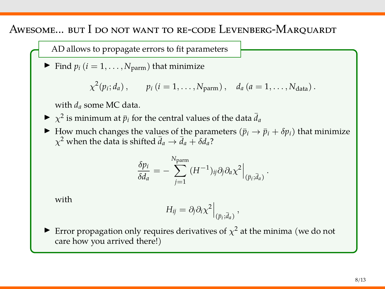Awesome... but I do not want to re-code Levenberg-Marquardt

AD allows to propagate errors to fit parameters

Find  $p_i$  ( $i = 1, \ldots, N_{\text{param}}$ ) that minimize

$$
\chi^2(p_i;d_a), \qquad p_i (i=1,\ldots,N_{\text{param}}), \quad d_a (a=1,\ldots,N_{\text{data}}).
$$

with *d<sup>a</sup>* some MC data.

- $\triangleright \ \chi^2$  is minimum at  $\bar{p}_i$  for the central values of the data  $\bar{d}_a$
- ▶ How much changes the values of the parameters ( $\bar{p}_i \rightarrow \bar{p}_i + \delta p_i$ ) that minimize  $\chi^2$  when the data is shifted  $\bar{d}_a \rightarrow \bar{d}_a + \delta d_a$ ?

$$
\frac{\delta p_i}{\delta d_a} = -\sum_{j=1}^{N_{\text{param}}} (H^{-1})_{ij} \partial_j \partial_a \chi^2 \Big|_{(\bar{p}_i; \bar{d}_a)}
$$

.

with

$$
H_{ij} = \partial_j \partial_i \chi^2 \Big|_{(\bar{p}_i; \bar{d}_a)},
$$

Error propagation only requires derivatives of  $\chi^2$  at the minima (we do not care how you arrived there!)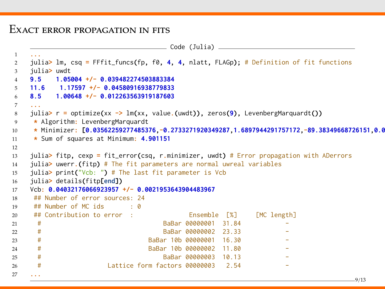#### Exact error propagation in fits

```
Code (Julia)
1 ...
2 julia> lm, csq = FFfit_funcs(fp, f0, 4, 4, nlatt, FLAGp); # Definition of fit functions
3 julia> uwdt
4 9.5 1.05004 +/- 0.039482274503883384
5 11.6 1.17597 +/- 0.04580916938779833
6 8.5 1.00648 +/- 0.012263563919187603
    7 ...
8 julia> r = optimize(xx -> lm(xx, value.(uwdt)), zeros(9), LevenbergMarquardt())
9 * Algorithm: LevenbergMarquardt
10 * Minimizer: [0.03562259277485376,-0.2733271920349287,1.6897944291757172,-89.38349668726151.0.0
11 * Sum of squares at Minimum: 4.901151
12
13 julia> fitp, cexp = fit_error(csq, r.minimizer, uwdt) # Error propagation with ADerrors
14 julia> uwerr.(fitp) # The fit parameters are normal uwreal variables
15 julia> print("Vcb: ") # The last fit parameter is Vcb
16 julia> details(fitp[end])
17 Vcb: 0.04032176066923957 +/- 0.0021953643904483967
18 ## Number of error sources: 24
19 \# Number of MC ids \cdot 0
20 ## Contribution to error : Ensemble [%] [MC length]
21 # BaBar 00000001 31.84
22 # BaBar 00000002 23.33 -
23 # BaBar 10b 00000001 16.30
24 # BaBar 10b 00000002 11.80
25 # BaBar 00000003 10.13
26 # Lattice form factors 00000003 2.54
27 ...
```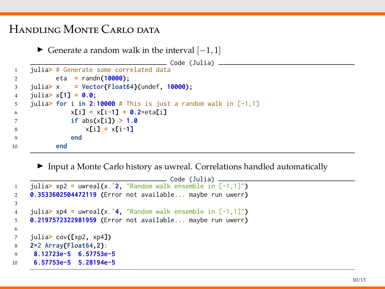## Handling Monte Carlo data

```
\blacktriangleright Generate a random walk in the interval [-1, 1]\overline{\phantom{a}} Code (Julia) \overline{\phantom{a}}1 julia> # Generate some correlated data
2 eta = randn(10000);
3 julia> x = Vector{Float64}(undef, 10000);
4 julia> x[1] = 0.0;
5 julia> for i in 2:10000 # This is just a random walk in [-1,1]
6 x[i] = x[i-1] + 0.2*eta[i]
7 if abs(x[i]) > 1.0
8 x[i] = x[i-1]
9 end
10 end
```
 $\blacktriangleright$  Input a Monte Carlo history as uwreal. Correlations handled automatically

```
_________ Code (Julia) ________
1 julia> xp2 = uwreal(x.ˆ2, "Random walk ensemble in [-1,1]")
2 0.3533602504472119 (Error not available... maybe run uwerr)
3
4 julia> xp4 = uwreal(x.ˆ4, "Random walk ensemble in [-1,1]")
5 0.2197572322981959 (Error not available... maybe run uwerr)
6
7 julia> cov([xp2, xp4])
8 2×2 Array{Float64,2}:
9 8.12723e-5 6.57753e-5
10 6.57753e-5 5.28194e-5
```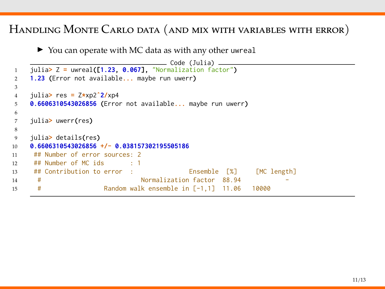### Handling Monte Carlo data (and mix with variables with error)

 $\triangleright$  You can operate with MC data as with any other uwreal

```
Code (Julia)
1 julia> Z = uwreal([1.23, 0.067], "Normalization factor")
2 1.23 (Error not available... maybe run uwerr)
3
4 julia> res = Z*xp2ˆ2/xp4
5 0.6606310543026856 (Error not available... maybe run uwerr)
6
7 julia> uwerr(res)
8
9 julia> details(res)
10 0.6606310543026856 +/- 0.038157302195505186
11 ## Number of error sources: 2
12 ## Number of MC ids : 1
13 ## Contribution to error : Ensemble [%] [MC length]
14 # Normalization factor 88.94
15 # Random walk ensemble in [-1,1] 11.06 10000
```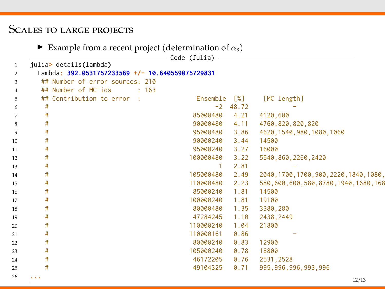# Scales to large projects

**Example from a recent project (determination of**  $\alpha_s$ **)** 

|                |                                                  | Code (Julia) |            |                                          |
|----------------|--------------------------------------------------|--------------|------------|------------------------------------------|
| $\mathbf{1}$   | julia> details(lambda)                           |              |            |                                          |
| $\overline{2}$ | Lambda: 392.0531757233569 +/- 10.640559075729831 |              |            |                                          |
| 3              | ## Number of error sources: 210                  |              |            |                                          |
| $\overline{4}$ | ## Number of MC ids<br>: 163                     |              |            |                                          |
| 5              | ## Contribution to error<br>- 11                 | Ensemble     | [%]        | [MC length]                              |
| 6              | #                                                |              | $-2$ 48.72 |                                          |
| 7              | #                                                | 85000480     | 4.21       | 4120,600                                 |
| $\bf8$         | #                                                | 90000480     | 4.11       | 4760,820,820,820                         |
| 9              | #                                                | 95000480     | 3.86       | 4620, 1540, 980, 1080, 1060              |
| 10             | #                                                | 90000240     | 3.44       | 14500                                    |
| 11             | #                                                | 95000240     | 3.27       | 16000                                    |
| 12             | #                                                | 100000480    | 3.22       | 5540,860,2260,2420                       |
| 13             | #                                                | $\mathbf{1}$ | 2.81       |                                          |
| 14             | #                                                | 105000480    | 2.49       | 2040, 1700, 1700, 900, 2220, 1840, 1080, |
| 15             | #                                                | 110000480    | 2.23       | 580,600,600,580,8780,1940,1680,168       |
| 16             | #                                                | 85000240     | 1.81       | 14500                                    |
| 17             | #                                                | 100000240    | 1.81       | 19100                                    |
| 18             | #                                                | 80000480     | 1.35       | 3380,280                                 |
| 19             | #                                                | 47284245     | 1.10       | 2438,2449                                |
| 20             | #                                                | 110000240    | 1.04       | 21800                                    |
| 21             | #                                                | 110000161    | 0.86       |                                          |
| 22             | #                                                | 80000240     | 0.83       | 12900                                    |
| 23             | #                                                | 105000240    | 0.78       | 18800                                    |
| 24             | #                                                | 46172205     | 0.76       | 2531, 2528                               |
| 25             | #                                                | 49104325     | 0.71       | 995, 996, 996, 993, 996                  |
| 26             | $\cdots$                                         |              |            | 12/13                                    |